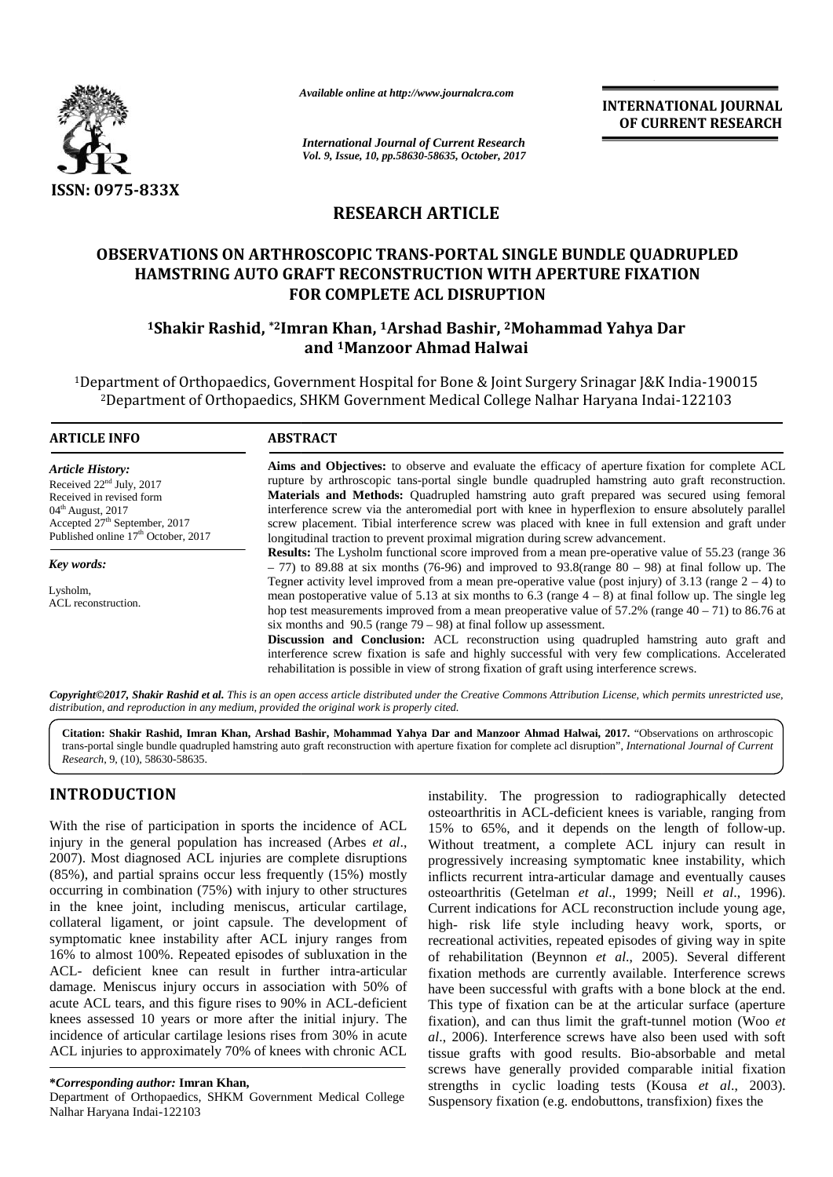

*Available online at http://www.journalcra.com*

**INTERNATIONAL JOURNAL OF CURRENT RESEARCH**

# **RESEARCH ARTICLE**

## **OBSERVATIONS ON ARTHROSCOPIC TRANS-PORTAL SINGLE BUNDLE QUADRUPLED ARTHROSCOPIC TRANS-PORTAL HAMSTRING AUTO GRAFT RECONSTRUCTION WITH APERTURE FIXATION FOR COMPLETE ACL DISRUPTION**

## **<sup>1</sup>Shakir Rashid, \*2Imran Khan, <sup>1</sup>Arshad Bashir, <sup>2</sup>Mohammad Yahya Dar <sup>1</sup>Arshad Dar and <sup>1</sup>Manzoor Ahmad Halwai**

|                                                                                                                                                                                                                                                                                                                                                                                                                                                                                                                                                                                                                                                                                                                                                                                                                                                                                                                                                                                                 |                                                                                                      | <b>INTERNATIONAL JOURNAL</b><br>OF CURRENT RESEARCH                                                                                                                                                                                                                                                                                                                                                                                                                                                                                                                                                                                                                                                                                                                                                                                                                                                                                                                                                                                                                                                                                                                                                                                                                                                                                                                                                                         |  |  |  |  |  |  |  |
|-------------------------------------------------------------------------------------------------------------------------------------------------------------------------------------------------------------------------------------------------------------------------------------------------------------------------------------------------------------------------------------------------------------------------------------------------------------------------------------------------------------------------------------------------------------------------------------------------------------------------------------------------------------------------------------------------------------------------------------------------------------------------------------------------------------------------------------------------------------------------------------------------------------------------------------------------------------------------------------------------|------------------------------------------------------------------------------------------------------|-----------------------------------------------------------------------------------------------------------------------------------------------------------------------------------------------------------------------------------------------------------------------------------------------------------------------------------------------------------------------------------------------------------------------------------------------------------------------------------------------------------------------------------------------------------------------------------------------------------------------------------------------------------------------------------------------------------------------------------------------------------------------------------------------------------------------------------------------------------------------------------------------------------------------------------------------------------------------------------------------------------------------------------------------------------------------------------------------------------------------------------------------------------------------------------------------------------------------------------------------------------------------------------------------------------------------------------------------------------------------------------------------------------------------------|--|--|--|--|--|--|--|
|                                                                                                                                                                                                                                                                                                                                                                                                                                                                                                                                                                                                                                                                                                                                                                                                                                                                                                                                                                                                 | <b>International Journal of Current Research</b><br>Vol. 9, Issue, 10, pp.58630-58635, October, 2017 |                                                                                                                                                                                                                                                                                                                                                                                                                                                                                                                                                                                                                                                                                                                                                                                                                                                                                                                                                                                                                                                                                                                                                                                                                                                                                                                                                                                                                             |  |  |  |  |  |  |  |
| ISSN: 0975-833X                                                                                                                                                                                                                                                                                                                                                                                                                                                                                                                                                                                                                                                                                                                                                                                                                                                                                                                                                                                 |                                                                                                      |                                                                                                                                                                                                                                                                                                                                                                                                                                                                                                                                                                                                                                                                                                                                                                                                                                                                                                                                                                                                                                                                                                                                                                                                                                                                                                                                                                                                                             |  |  |  |  |  |  |  |
|                                                                                                                                                                                                                                                                                                                                                                                                                                                                                                                                                                                                                                                                                                                                                                                                                                                                                                                                                                                                 |                                                                                                      | <b>RESEARCH ARTICLE</b>                                                                                                                                                                                                                                                                                                                                                                                                                                                                                                                                                                                                                                                                                                                                                                                                                                                                                                                                                                                                                                                                                                                                                                                                                                                                                                                                                                                                     |  |  |  |  |  |  |  |
|                                                                                                                                                                                                                                                                                                                                                                                                                                                                                                                                                                                                                                                                                                                                                                                                                                                                                                                                                                                                 |                                                                                                      | <b>OBSERVATIONS ON ARTHROSCOPIC TRANS-PORTAL SINGLE BUNDLE QUADRUPLED</b>                                                                                                                                                                                                                                                                                                                                                                                                                                                                                                                                                                                                                                                                                                                                                                                                                                                                                                                                                                                                                                                                                                                                                                                                                                                                                                                                                   |  |  |  |  |  |  |  |
|                                                                                                                                                                                                                                                                                                                                                                                                                                                                                                                                                                                                                                                                                                                                                                                                                                                                                                                                                                                                 |                                                                                                      | <b>HAMSTRING AUTO GRAFT RECONSTRUCTION WITH APERTURE FIXATION</b>                                                                                                                                                                                                                                                                                                                                                                                                                                                                                                                                                                                                                                                                                                                                                                                                                                                                                                                                                                                                                                                                                                                                                                                                                                                                                                                                                           |  |  |  |  |  |  |  |
|                                                                                                                                                                                                                                                                                                                                                                                                                                                                                                                                                                                                                                                                                                                                                                                                                                                                                                                                                                                                 |                                                                                                      | <b>FOR COMPLETE ACL DISRUPTION</b>                                                                                                                                                                                                                                                                                                                                                                                                                                                                                                                                                                                                                                                                                                                                                                                                                                                                                                                                                                                                                                                                                                                                                                                                                                                                                                                                                                                          |  |  |  |  |  |  |  |
|                                                                                                                                                                                                                                                                                                                                                                                                                                                                                                                                                                                                                                                                                                                                                                                                                                                                                                                                                                                                 |                                                                                                      | <sup>1</sup> Shakir Rashid, *2Imran Khan, <sup>1</sup> Arshad Bashir, <sup>2</sup> Mohammad Yahya Dar<br>and <sup>1</sup> Manzoor Ahmad Halwai                                                                                                                                                                                                                                                                                                                                                                                                                                                                                                                                                                                                                                                                                                                                                                                                                                                                                                                                                                                                                                                                                                                                                                                                                                                                              |  |  |  |  |  |  |  |
|                                                                                                                                                                                                                                                                                                                                                                                                                                                                                                                                                                                                                                                                                                                                                                                                                                                                                                                                                                                                 |                                                                                                      | <sup>1</sup> Department of Orthopaedics, Government Hospital for Bone & Joint Surgery Srinagar J&K India-190015<br><sup>2</sup> Department of Orthopaedics, SHKM Government Medical College Nalhar Haryana Indai-122103                                                                                                                                                                                                                                                                                                                                                                                                                                                                                                                                                                                                                                                                                                                                                                                                                                                                                                                                                                                                                                                                                                                                                                                                     |  |  |  |  |  |  |  |
| <b>ARTICLE INFO</b>                                                                                                                                                                                                                                                                                                                                                                                                                                                                                                                                                                                                                                                                                                                                                                                                                                                                                                                                                                             | <b>ABSTRACT</b>                                                                                      |                                                                                                                                                                                                                                                                                                                                                                                                                                                                                                                                                                                                                                                                                                                                                                                                                                                                                                                                                                                                                                                                                                                                                                                                                                                                                                                                                                                                                             |  |  |  |  |  |  |  |
| <b>Article History:</b><br>Received 22 <sup>nd</sup> July, 2017<br>Received in revised form<br>04 <sup>th</sup> August, 2017<br>Accepted 27 <sup>th</sup> September, 2017<br>Published online 17 <sup>th</sup> October, 2017<br>Key words:<br>Lysholm,<br>ACL reconstruction.                                                                                                                                                                                                                                                                                                                                                                                                                                                                                                                                                                                                                                                                                                                   | rehabilitation is possible in view of strong fixation of graft using interference screws.            | Aims and Objectives: to observe and evaluate the efficacy of aperture fixation for complete ACL<br>rupture by arthroscopic tans-portal single bundle quadrupled hamstring auto graft reconstruction.<br>Materials and Methods: Quadrupled hamstring auto graft prepared was secured using femoral<br>interference screw via the anteromedial port with knee in hyperflexion to ensure absolutely parallel<br>screw placement. Tibial interference screw was placed with knee in full extension and graft under<br>longitudinal traction to prevent proximal migration during screw advancement.<br>Results: The Lysholm functional score improved from a mean pre-operative value of 55.23 (range 36<br>$-77$ ) to 89.88 at six months (76-96) and improved to 93.8(range 80 - 98) at final follow up. The<br>Tegner activity level improved from a mean pre-operative value (post injury) of 3.13 (range $2 - 4$ ) to<br>mean postoperative value of 5.13 at six months to 6.3 (range $4 - 8$ ) at final follow up. The single leg<br>hop test measurements improved from a mean preoperative value of $57.2\%$ (range $40 - 71$ ) to 86.76 at<br>six months and $90.5$ (range $79 - 98$ ) at final follow up assessment.<br>Discussion and Conclusion: ACL reconstruction using quadrupled hamstring auto graft and<br>interference screw fixation is safe and highly successful with very few complications. Accelerated |  |  |  |  |  |  |  |
| distribution, and reproduction in any medium, provided the original work is properly cited.                                                                                                                                                                                                                                                                                                                                                                                                                                                                                                                                                                                                                                                                                                                                                                                                                                                                                                     |                                                                                                      | Copyright©2017, Shakir Rashid et al. This is an open access article distributed under the Creative Commons Attribution License, which permits unrestricted use,                                                                                                                                                                                                                                                                                                                                                                                                                                                                                                                                                                                                                                                                                                                                                                                                                                                                                                                                                                                                                                                                                                                                                                                                                                                             |  |  |  |  |  |  |  |
| Research, 9, (10), 58630-58635.                                                                                                                                                                                                                                                                                                                                                                                                                                                                                                                                                                                                                                                                                                                                                                                                                                                                                                                                                                 |                                                                                                      | Citation: Shakir Rashid, Imran Khan, Arshad Bashir, Mohammad Yahya Dar and Manzoor Ahmad Halwai, 2017. "Observations on arthroscopic<br>trans-portal single bundle quadrupled hamstring auto graft reconstruction with aperture fixation for complete acl disruption", International Journal of Current                                                                                                                                                                                                                                                                                                                                                                                                                                                                                                                                                                                                                                                                                                                                                                                                                                                                                                                                                                                                                                                                                                                     |  |  |  |  |  |  |  |
| <b>INTRODUCTION</b>                                                                                                                                                                                                                                                                                                                                                                                                                                                                                                                                                                                                                                                                                                                                                                                                                                                                                                                                                                             |                                                                                                      | instability. The progression to radiographically detected<br>osteoarthritis in ACL-deficient knees is variable, ranging from                                                                                                                                                                                                                                                                                                                                                                                                                                                                                                                                                                                                                                                                                                                                                                                                                                                                                                                                                                                                                                                                                                                                                                                                                                                                                                |  |  |  |  |  |  |  |
| With the rise of participation in sports the incidence of ACL<br>injury in the general population has increased (Arbes et al.,<br>2007). Most diagnosed ACL injuries are complete disruptions<br>$(85\%)$ , and partial sprains occur less frequently $(15\%)$ mostly<br>occurring in combination (75%) with injury to other structures<br>in the knee joint, including meniscus, articular cartilage,<br>collateral ligament, or joint capsule. The development of<br>symptomatic knee instability after ACL injury ranges from<br>16% to almost 100%. Repeated episodes of subluxation in the<br>ACL- deficient knee can result in further intra-articular<br>damage. Meniscus injury occurs in association with 50% of<br>acute ACL tears, and this figure rises to 90% in ACL-deficient<br>knees assessed 10 years or more after the initial injury. The<br>incidence of articular cartilage lesions rises from 30% in acute<br>ACL injuries to approximately 70% of knees with chronic ACL |                                                                                                      | 15% to 65%, and it depends on the length of follow-up.<br>Without treatment, a complete ACL injury can result in<br>progressively increasing symptomatic knee instability, which<br>inflicts recurrent intra-articular damage and eventually causes<br>osteoarthritis (Getelman et al., 1999; Neill et al., 1996).<br>Current indications for ACL reconstruction include young age,<br>high- risk life style including heavy work, sports, or<br>recreational activities, repeated episodes of giving way in spite<br>of rehabilitation (Beynnon et al., 2005). Several different<br>fixation methods are currently available. Interference screws<br>have been successful with grafts with a bone block at the end.<br>This type of fixation can be at the articular surface (aperture<br>fixation), and can thus limit the graft-tunnel motion (Woo et<br>al., 2006). Interference screws have also been used with soft<br>tissue grafts with good results. Bio-absorbable and metal<br>screws have generally provided comparable initial fixation                                                                                                                                                                                                                                                                                                                                                                        |  |  |  |  |  |  |  |
| *Corresponding author: Imran Khan,<br>Department of Orthopaedics, SHKM Government Medical College                                                                                                                                                                                                                                                                                                                                                                                                                                                                                                                                                                                                                                                                                                                                                                                                                                                                                               |                                                                                                      | strengths in cyclic loading tests (Kousa et al., 2003).<br>Suspensory fixation (e.g. endobuttons, transfixion) fixes the                                                                                                                                                                                                                                                                                                                                                                                                                                                                                                                                                                                                                                                                                                                                                                                                                                                                                                                                                                                                                                                                                                                                                                                                                                                                                                    |  |  |  |  |  |  |  |

# **INTRODUCTION INTRODUCTION**

Department of Orthopaedics, SHKM Government Medical College Sus<br>Nalhar Haryana Indai-122103 Nalhar Haryana Indai-122103

instability. The progression to radiographically detected osteoarthritis in ACL-deficient knees is variable, ranging from 15% to 65%, and it depends on the length of follow-up. Without treatment, a complete ACL injury can result in progressively increasing symptomatic knee instability, which 15% to 65%, and it depends on the length of follow-up.<br>Without treatment, a complete ACL injury can result in<br>progressively increasing symptomatic knee instability, which<br>inflicts recurrent intra-articular damage and event osteoarthritis (Getelman *et al*., 1999; Neill *et al*., 1996). *al*Current indications for ACL reconstruction include young age, high- risk life style including heavy work, sports, or recreational activities, repeated episodes of giving way in spite of rehabilitation (Beynnon *et al*., 2005). Several different fixation methods are currently available. Interference screws have been successful with grafts with a bone block at the end. This type of fixation can be at the articular surface (aperture fixation), and can thus limit the graft-tunnel motion (Woo *et al*., 2006). Interference screws have also been used with soft tissue grafts with good results. Bio-absorbable and metal screws have generally provided comparable initial fixation strengths in cyclic loading tests (Kousa *et al*., 2003). Suspensory fixation (e.g. endobuttons, transfixion) fixes the of rehabilitation (Beynnon *et al.*, 2005). Several different fixation methods are currently available. Interference screws have been successful with grafts with a bone block at the end. This type of fixation can be at the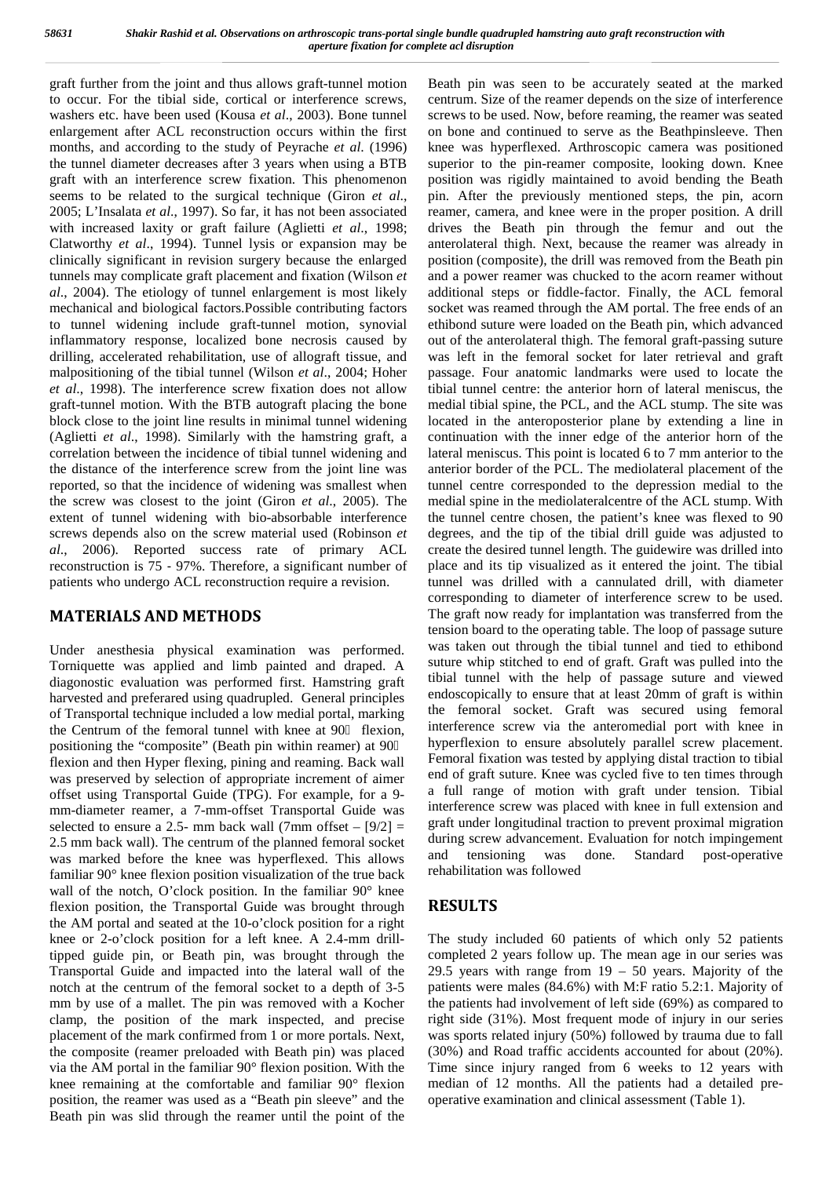graft further from the joint and thus allows graft-tunnel motion to occur. For the tibial side, cortical or interference screws, washers etc. have been used (Kousa *et al*., 2003). Bone tunnel enlargement after ACL reconstruction occurs within the first months, and according to the study of Peyrache *et al*. (1996) the tunnel diameter decreases after 3 years when using a BTB graft with an interference screw fixation. This phenomenon seems to be related to the surgical technique (Giron *et al*., 2005; L'Insalata *et al*., 1997). So far, it has not been associated with increased laxity or graft failure (Aglietti *et al*., 1998; Clatworthy *et al*., 1994). Tunnel lysis or expansion may be clinically significant in revision surgery because the enlarged tunnels may complicate graft placement and fixation (Wilson *et al*., 2004). The etiology of tunnel enlargement is most likely mechanical and biological factors.Possible contributing factors to tunnel widening include graft-tunnel motion, synovial inflammatory response, localized bone necrosis caused by drilling, accelerated rehabilitation, use of allograft tissue, and malpositioning of the tibial tunnel (Wilson *et al*., 2004; Hoher *et al*., 1998). The interference screw fixation does not allow graft-tunnel motion. With the BTB autograft placing the bone block close to the joint line results in minimal tunnel widening (Aglietti *et al*., 1998). Similarly with the hamstring graft, a correlation between the incidence of tibial tunnel widening and the distance of the interference screw from the joint line was reported, so that the incidence of widening was smallest when the screw was closest to the joint (Giron *et al*., 2005). The extent of tunnel widening with bio-absorbable interference screws depends also on the screw material used (Robinson *et al*., 2006). Reported success rate of primary ACL reconstruction is 75 ‐ 97%. Therefore, a significant number of patients who undergo ACL reconstruction require a revision.

### **MATERIALS AND METHODS**

Under anesthesia physical examination was performed. Torniquette was applied and limb painted and draped. A diagonostic evaluation was performed first. Hamstring graft harvested and preferared using quadrupled. General principles of Transportal technique included a low medial portal, marking the Centrum of the femoral tunnel with knee at 90 flexion, positioning the "composite" (Beath pin within reamer) at 90 flexion and then Hyper flexing, pining and reaming. Back wall was preserved by selection of appropriate increment of aimer offset using Transportal Guide (TPG). For example, for a 9 mm-diameter reamer, a 7-mm-offset Transportal Guide was selected to ensure a 2.5- mm back wall (7mm offset  $-$  [9/2]  $=$ 2.5 mm back wall). The centrum of the planned femoral socket during<br>we measured before the lines was bureafted de This allows and was marked before the knee was hyperflexed. This allows familiar 90° knee flexion position visualization of the true back wall of the notch, O'clock position. In the familiar 90° knee flexion position, the Transportal Guide was brought through the AM portal and seated at the 10-o'clock position for a right knee or 2-o'clock position for a left knee. A 2.4-mm drilltipped guide pin, or Beath pin, was brought through the Transportal Guide and impacted into the lateral wall of the notch at the centrum of the femoral socket to a depth of 3-5 mm by use of a mallet. The pin was removed with a Kocher clamp, the position of the mark inspected, and precise placement of the mark confirmed from 1 or more portals. Next, the composite (reamer preloaded with Beath pin) was placed via the AM portal in the familiar 90° flexion position. With the knee remaining at the comfortable and familiar 90° flexion position, the reamer was used as a "Beath pin sleeve" and the Beath pin was slid through the reamer until the point of the

Beath pin was seen to be accurately seated at the marked centrum. Size of the reamer depends on the size of interference screws to be used. Now, before reaming, the reamer was seated on bone and continued to serve as the Beathpinsleeve. Then knee was hyperflexed. Arthroscopic camera was positioned superior to the pin-reamer composite, looking down. Knee position was rigidly maintained to avoid bending the Beath pin. After the previously mentioned steps, the pin, acorn reamer, camera, and knee were in the proper position. A drill drives the Beath pin through the femur and out the anterolateral thigh. Next, because the reamer was already in position (composite), the drill was removed from the Beath pin and a power reamer was chucked to the acorn reamer without additional steps or fiddle-factor. Finally, the ACL femoral socket was reamed through the AM portal. The free ends of an ethibond suture were loaded on the Beath pin, which advanced out of the anterolateral thigh. The femoral graft-passing suture was left in the femoral socket for later retrieval and graft passage. Four anatomic landmarks were used to locate the tibial tunnel centre: the anterior horn of lateral meniscus, the medial tibial spine, the PCL, and the ACL stump. The site was located in the anteroposterior plane by extending a line in continuation with the inner edge of the anterior horn of the lateral meniscus. This point is located 6 to 7 mm anterior to the anterior border of the PCL. The mediolateral placement of the tunnel centre corresponded to the depression medial to the medial spine in the mediolateralcentre of the ACL stump. With the tunnel centre chosen, the patient's knee was flexed to 90 degrees, and the tip of the tibial drill guide was adjusted to create the desired tunnel length. The guidewire was drilled into place and its tip visualized as it entered the joint. The tibial tunnel was drilled with a cannulated drill, with diameter corresponding to diameter of interference screw to be used. The graft now ready for implantation was transferred from the tension board to the operating table. The loop of passage suture was taken out through the tibial tunnel and tied to ethibond suture whip stitched to end of graft. Graft was pulled into the tibial tunnel with the help of passage suture and viewed endoscopically to ensure that at least 20mm of graft is within the femoral socket. Graft was secured using femoral interference screw via the anteromedial port with knee in hyperflexion to ensure absolutely parallel screw placement. Femoral fixation was tested by applying distal traction to tibial end of graft suture. Knee was cycled five to ten times through a full range of motion with graft under tension. Tibial interference screw was placed with knee in full extension and graft under longitudinal traction to prevent proximal migration during screw advancement. Evaluation for notch impingement and tensioning was done. Standard post-operative rehabilitation was followed

## **RESULTS**

The study included 60 patients of which only 52 patients completed 2 years follow up. The mean age in our series was 29.5 years with range from  $19 - 50$  years. Majority of the patients were males (84.6%) with M:F ratio 5.2:1. Majority of the patients had involvement of left side (69%) as compared to right side (31%). Most frequent mode of injury in our series was sports related injury (50%) followed by trauma due to fall (30%) and Road traffic accidents accounted for about (20%). Time since injury ranged from 6 weeks to 12 years with median of 12 months. All the patients had a detailed pre operative examination and clinical assessment (Table 1).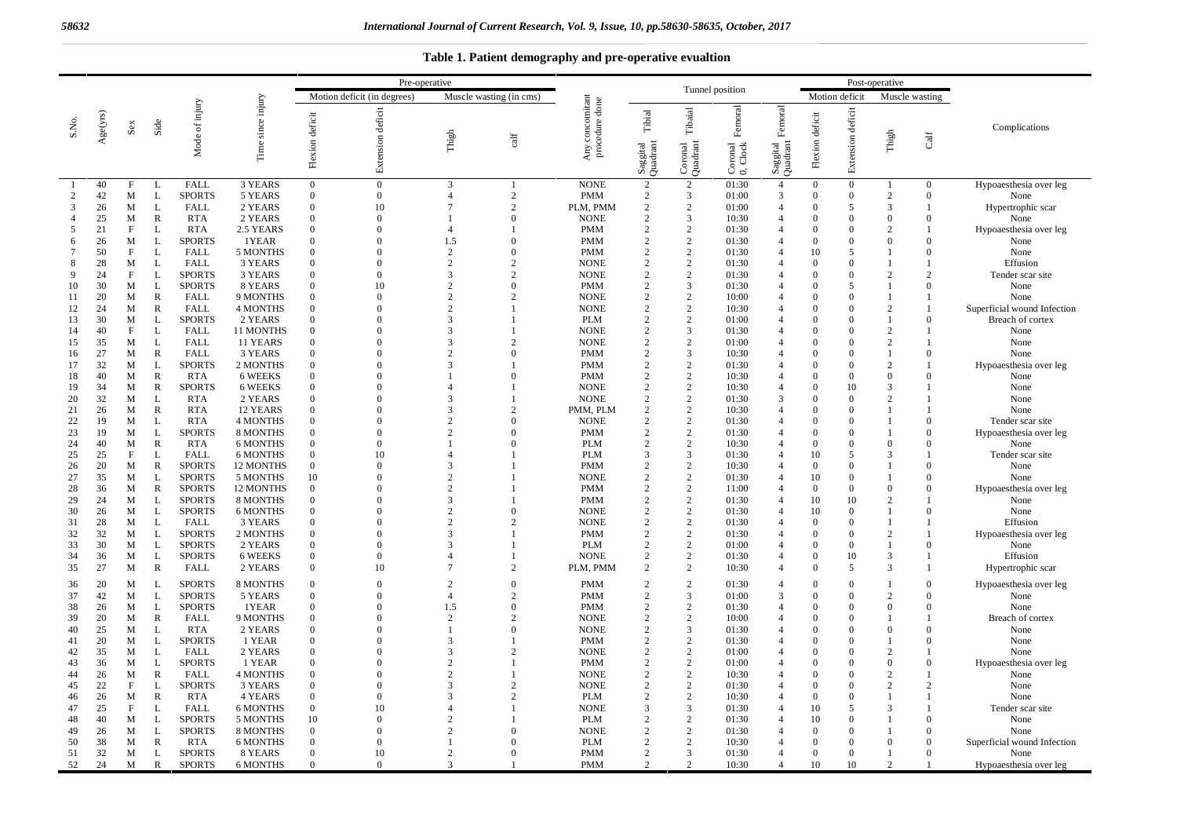### **Table 1. Patient demography and pre-operative evualtion**

|                |          |                         | Pre-operative     |                                |                             |                                                        |                      |                          |                                  |                                          |                                |                                | Post-operative                    |                                                       |                      |                                  |                            |                      |                             |
|----------------|----------|-------------------------|-------------------|--------------------------------|-----------------------------|--------------------------------------------------------|----------------------|--------------------------|----------------------------------|------------------------------------------|--------------------------------|--------------------------------|-----------------------------------|-------------------------------------------------------|----------------------|----------------------------------|----------------------------|----------------------|-----------------------------|
|                |          |                         |                   |                                |                             | Motion deficit (in degrees)<br>Muscle wasting (in cms) |                      |                          |                                  |                                          | Tunnel position                |                                |                                   |                                                       |                      | Motion deficit                   | Muscle wasting             |                      |                             |
| S.No.          | Age(yrs) | $\mathbf{S}\mathbf{ex}$ | Side              | Mode of injury                 | since injury<br>Time        | deficit<br>Flexion                                     | Extension deficit    | Thigh                    | $\operatorname{cat}$             | Any concomitant<br>procedure done<br>Any | Tibial<br>Saggital<br>Quadrant | Tibaial<br>Coronal<br>Quadrant | Femoral<br>oronal<br>Clock<br>೦ ಲ | $\label{eq:1} \text{Femoral}$<br>Saggital<br>Quadrant | Flexion deficit      | Extension deficit                | Thigh                      | ${\rm Caff}$         | Complications               |
|                | 40       | $\mathbf{F}$            | L                 | <b>FALL</b>                    | 3 YEARS                     | $\overline{0}$                                         | $\theta$             | 3                        | $\mathbf{1}$                     | <b>NONE</b>                              | 2                              | 2                              | 01:30                             | $\overline{4}$                                        | $\overline{0}$       | $\mathbf{0}$                     |                            | $\mathbf{0}$         | Hypoaesthesia over leg      |
| $\overline{c}$ | 42       | M                       | L                 | <b>SPORTS</b>                  | 5 YEARS                     | $\overline{0}$                                         | $\Omega$             | $\overline{4}$           | $\overline{2}$                   | <b>PMM</b>                               | 2                              | 3                              | 01:00                             | 3                                                     | $\Omega$             | $\overline{0}$                   | $\overline{c}$             | $\Omega$             | None                        |
| 3              | 26       | M                       | L                 | FALL                           | 2 YEARS                     | $\overline{0}$                                         | 10                   | $\overline{7}$           | $\overline{2}$                   | PLM, PMM                                 | $\overline{2}$                 | 2                              | 01:00                             | $\overline{4}$                                        | $\Omega$             | 5                                | 3                          | $\mathbf{1}$         | Hypertrophic scar           |
| 4              | 25       | M                       | $\mathbb{R}$      | <b>RTA</b>                     | 2 YEARS                     | $\mathbf{0}$                                           | $\overline{0}$       |                          | $\overline{0}$                   | <b>NONE</b>                              | 2                              | 3                              | 10:30                             | $\overline{\mathcal{A}}$                              | $\Omega$             | $\mathbf{0}$                     | $\mathbf{0}$               | $\mathbf{0}$         | None                        |
| 5              | 21       | $\mathbf F$             | L                 | <b>RTA</b>                     | 2.5 YEARS                   | $\overline{0}$                                         | $\theta$<br>$\theta$ | $\overline{4}$           | 1<br>$\mathbf{0}$                | <b>PMM</b>                               | $\overline{2}$<br>2            | 2<br>2                         | 01:30                             | $\Delta$<br>$\Delta$                                  | $\Omega$<br>$\Omega$ | $\Omega$                         | $\overline{c}$<br>$\Omega$ |                      | Hypoaesthesia over leg      |
| 6              | 26<br>50 | М<br>F                  | ${\bf L}$<br>L    | <b>SPORTS</b><br>FALL          | 1YEAR<br>5 MONTHS           | $\overline{0}$<br>$\overline{0}$                       | $\Omega$             | 1.5<br>$\overline{c}$    | $\Omega$                         | <b>PMM</b><br><b>PMM</b>                 | 2                              | 2                              | 01:30                             |                                                       |                      | $\mathbf{0}$                     | -1                         | $\mathbf{0}$         | None                        |
| 8              | 28       | M                       | L                 | <b>FALL</b>                    | 3 YEARS                     | $\overline{0}$                                         | $\Omega$             | $\overline{c}$           | $\overline{2}$                   | <b>NONE</b>                              | 2                              | 2                              | 01:30<br>01:30                    |                                                       | 10<br>$\Omega$       | 5<br>$\Omega$                    | -1                         | $\overline{0}$       | None<br>Effusion            |
| 9              | 24       | F                       | L                 | <b>SPORTS</b>                  | 3 YEARS                     | $\mathbf{0}$                                           | $\mathbf{0}$         | 3                        | $\overline{c}$                   | <b>NONE</b>                              | 2                              | 2                              | 01:30                             | 4                                                     | $\Omega$             | $\mathbf{0}$                     | $\overline{2}$             | $\overline{2}$       | Tender scar site            |
| 10             | 30       | M                       | L                 | <b>SPORTS</b>                  | 8 YEARS                     | $\overline{0}$                                         | 10                   | $\overline{c}$           | $\overline{0}$                   | <b>PMM</b>                               | 2                              | 3                              | 01:30                             |                                                       | $\Omega$             | 5                                | -1                         | $\Omega$             | None                        |
| 11             | 20       | М                       | $\mathbb{R}$      | <b>FALL</b>                    | 9 MONTHS                    | $\bf{0}$                                               | $\Omega$             | $\overline{2}$           | 2                                | <b>NONE</b>                              | 2                              | 2                              | 10:00                             |                                                       | $\Omega$             | $\overline{0}$                   |                            |                      | None                        |
| 12             | 24       | M                       | $\mathbb{R}$      | FALL                           | <b>4 MONTHS</b>             | $\overline{0}$                                         | $\Omega$             | $\overline{2}$           | $\mathbf{1}$                     | <b>NONE</b>                              | 2                              | 2                              | 10:30                             |                                                       | $\Omega$             | $\Omega$                         | $\overline{2}$             |                      | Superficial wound Infection |
| 13             | 30       | М                       | L                 | <b>SPORTS</b>                  | 2 YEARS                     | $\overline{0}$                                         | $\theta$             | 3                        | $\mathbf{1}$                     | PLM                                      | 2                              | 2                              | 01:00                             |                                                       | $\Omega$             | $\mathbf{0}$                     | -1                         | $\mathbf{0}$         | Breach of cortex            |
| 14             | 40       | $\mathbf{F}$            | L                 | <b>FALL</b>                    | 11 MONTHS                   | $\mathbf{0}$                                           | $\theta$             | 3                        | $\mathbf{1}$                     | <b>NONE</b>                              | 2                              | 3                              | 01:30                             | 4                                                     | $\Omega$             | $\theta$                         | $\overline{2}$             | -1                   | None                        |
| 15             | 35       | M                       | L                 | FALL                           | 11 YEARS                    | $\overline{0}$                                         | $\Omega$             | 3                        | $\overline{2}$                   | <b>NONE</b>                              | 2                              | 2                              | 01:00                             |                                                       | $\Omega$             | $\Omega$                         | $\overline{2}$             |                      | None                        |
| 16             | 27       | М                       | $\mathbb{R}$      | <b>FALL</b>                    | 3 YEARS                     | $\overline{0}$                                         | $\Omega$             | $\overline{2}$           | $\overline{0}$                   | <b>PMM</b>                               | 2                              | 3                              | 10:30                             |                                                       | $\Omega$             | $\mathbf{0}$                     | -1                         | $\mathbf{0}$         | None                        |
| 17             | 32       | М                       | L                 | <b>SPORTS</b>                  | 2 MONTHS                    | $\overline{0}$                                         | $\Omega$             | 3                        | -1                               | <b>PMM</b>                               | 2                              | 2                              | 01:30                             |                                                       | $\Omega$             | $\Omega$                         | 2                          |                      | Hypoaesthesia over leg      |
| 18             | 40       | М                       | $\mathbb{R}$      | <b>RTA</b>                     | 6 WEEKS                     | $\overline{0}$                                         | $\Omega$             | 1                        | $\Omega$                         | <b>PMM</b>                               | $\overline{2}$                 | 2                              | 10:30                             |                                                       | $\Omega$             | $\Omega$                         | $\theta$                   | $\Omega$             | None                        |
| 19             | 34       | M                       | $\mathbb{R}$      | <b>SPORTS</b>                  | 6 WEEKS                     | $\mathbf{0}$                                           | $\overline{0}$       | $\overline{4}$           | 1                                | <b>NONE</b>                              | $\overline{2}$                 | 2                              | 10:30                             | $\overline{4}$                                        | $\Omega$             | 10                               | 3                          |                      | None                        |
| 20             | 32       | M                       | L                 | <b>RTA</b>                     | 2 YEARS                     | $\overline{0}$                                         | $\Omega$             | 3                        | $\mathbf{1}$                     | <b>NONE</b>                              | 2                              | 2                              | 01:30                             | 3                                                     | $\Omega$             | $\overline{0}$                   | $\overline{2}$             |                      | None                        |
| 21             | 26       | М                       | R                 | <b>RTA</b>                     | 12 YEARS                    | $\mathbf{0}$                                           | $\Omega$             | 3                        | $\overline{2}$                   | PMM, PLM                                 | 2                              | 2                              | 10:30                             | $\overline{4}$                                        | $\Omega$             | $\overline{0}$                   | $\mathbf{1}$               |                      | None                        |
| 22             | 19       | M                       | L                 | <b>RTA</b>                     | <b>4 MONTHS</b>             | $\overline{0}$                                         | $\theta$             | $\overline{2}$           | $\Omega$                         | <b>NONE</b>                              | 2                              | 2                              | 01:30                             |                                                       | $\Omega$             | $\Omega$                         |                            | $\overline{0}$       | Tender scar site            |
| 23             | 19       | M                       | L                 | <b>SPORTS</b>                  | 8 MONTHS                    | $\overline{0}$                                         | $\Omega$             | $\overline{c}$           | $\Omega$                         | <b>PMM</b>                               | 2                              | 2                              | 01:30                             |                                                       | $\Omega$             | $\Omega$                         |                            | $\overline{0}$       | Hypoaesthesia over leg      |
| 24             | 40       | M                       | $\mathbb{R}$      | <b>RTA</b>                     | 6 MONTHS                    | $\overline{0}$                                         | $\Omega$             | $\mathbf{1}$<br>$\Delta$ | $\overline{0}$                   | <b>PLM</b>                               | 2<br>$\mathcal{R}$             | 2                              | 10:30                             | 4                                                     | $\Omega$             | $\mathbf{0}$                     | $\overline{0}$             | $\mathbf{0}$         | None                        |
| 25<br>26       | 25<br>20 | $\mathbf{F}$<br>M       | L<br>$\mathbb{R}$ | <b>FALL</b>                    | <b>6 MONTHS</b>             | $\mathbf{0}$<br>$\overline{0}$                         | 10<br>$\Omega$       | 3                        | $\mathbf{1}$                     | <b>PLM</b><br><b>PMM</b>                 | 2                              | 3<br>2                         | 01:30                             | 4                                                     | 10<br>$\Omega$       | $\overline{2}$<br>$\overline{0}$ | $\mathcal{R}$<br>-1        | $\overline{0}$       | Tender scar site            |
| 27             | 35       | М                       | L                 | <b>SPORTS</b><br><b>SPORTS</b> | 12 MONTHS                   | 10                                                     | $\Omega$             | $\overline{c}$           | -1                               | <b>NONE</b>                              | 2                              | 2                              | 10:30<br>01:30                    |                                                       | 10                   | $\Omega$                         |                            | $\overline{0}$       | None<br>None                |
| 28             | 36       | M                       | $\mathbb{R}$      | <b>SPORTS</b>                  | 5 MONTHS<br>12 MONTHS       | $\overline{0}$                                         | $\theta$             | $\overline{2}$           | $\mathbf{1}$                     | <b>PMM</b>                               | 2                              | 2                              | 11:00                             |                                                       | $\Omega$             | $\mathbf{0}$                     | $\overline{0}$             | $\mathbf{0}$         | Hypoaesthesia over leg      |
| 29             | 24       | M                       | L                 | <b>SPORTS</b>                  | 8 MONTHS                    | $\overline{0}$                                         | $\theta$             | 3                        | -1                               | <b>PMM</b>                               | 2                              | 2                              | 01:30                             | 4                                                     | 10                   | 10                               | $\overline{c}$             | -1                   | None                        |
| 30             | 26       | M                       | L                 | <b>SPORTS</b>                  | <b>6 MONTHS</b>             | $\overline{0}$                                         | $\Omega$             | $\overline{2}$           | $\Omega$                         | <b>NONE</b>                              | 2                              | 2                              | 01:30                             |                                                       | 10                   | $\overline{0}$                   | $\mathbf{1}$               | $\overline{0}$       | None                        |
| 31             | 28       | M                       | L                 | FALL                           | 3 YEARS                     | $\overline{0}$                                         | $\Omega$             | $\mathcal{D}$            | $\mathcal{D}_{\alpha}$           | <b>NONE</b>                              | 2                              | 2                              | 01:30                             | $\Delta$                                              | $\Omega$             | $\Omega$                         | $\mathbf{1}$               |                      | Effusion                    |
| 32             | 32       | М                       | L                 | <b>SPORTS</b>                  | 2 MONTHS                    | $\overline{0}$                                         | $\theta$             | 3                        | $\mathbf{1}$                     | <b>PMM</b>                               | 2                              | 2                              | 01:30                             |                                                       | $\Omega$             | $\mathbf{0}$                     | $\overline{c}$             |                      | Hypoaesthesia over leg      |
| 33             | 30       | M                       | L                 | <b>SPORTS</b>                  | 2 YEARS                     | $\overline{0}$                                         | $\theta$             | 3                        | -1                               | <b>PLM</b>                               | 2                              | 2                              | 01:00                             |                                                       | $\Omega$             | $\overline{0}$                   |                            | $\theta$             | None                        |
| 34             | 36       | M                       | L                 | <b>SPORTS</b>                  | 6 WEEKS                     | $\overline{0}$                                         | $\boldsymbol{0}$     | $\overline{A}$           | $\mathbf{1}$                     | <b>NONE</b>                              | 2                              | 2                              | 01:30                             | $\overline{4}$                                        | $\Omega$             | 10                               | 3                          | -1                   | Effusion                    |
| 35             | 27       | M                       | $\mathbb{R}$      | FALL                           | 2 YEARS                     | $\mathbf{0}$                                           | 10                   | $\overline{7}$           | 2                                | PLM, PMM                                 | 2                              | 2                              | 10:30                             | $\overline{A}$                                        | $\Omega$             | 5                                | 3                          | $\overline{1}$       | Hypertrophic scar           |
| 36             | 20       | M                       | L                 | <b>SPORTS</b>                  | 8 MONTHS                    | $\overline{0}$                                         | $\Omega$             | $\overline{2}$           | $\Omega$                         | <b>PMM</b>                               | 2                              | 2                              | 01:30                             | $\overline{4}$                                        | $\Omega$             | $\Omega$                         | $\overline{1}$             | $\overline{0}$       | Hypoaesthesia over leg      |
| 37             | 42       | M                       | L                 | <b>SPORTS</b>                  | 5 YEARS                     | $\Omega$                                               | $\Omega$             | $\overline{A}$           | $\overline{2}$                   | <b>PMM</b>                               | 2                              | 3                              | 01:00                             | 3                                                     | $\Omega$             | $\Omega$                         | $\overline{c}$             | $\Omega$             | None                        |
| 38             | 26       | M                       | L                 | <b>SPORTS</b>                  | 1YEAR                       | $\overline{0}$                                         | $\theta$             | 1.5                      | $\Omega$                         | <b>PMM</b>                               | 2                              | $\overline{2}$                 | 01:30                             | $\overline{4}$                                        | $\Omega$             | $\Omega$                         | $\Omega$                   | $\overline{0}$       | None                        |
| 39             | 20       | М                       | $\mathbb{R}$      | <b>FALL</b>                    | 9 MONTHS                    | $\overline{0}$                                         | $\theta$             | $\overline{2}$           | $\overline{2}$                   | <b>NONE</b>                              | 2                              | 2                              | 10:00                             | Δ                                                     | $\Omega$             | $\Omega$                         |                            | -1                   | Breach of cortex            |
| 40             | 25       | М                       | L                 | <b>RTA</b>                     | 2 YEARS                     | $\mathbf{0}$                                           | $\Omega$             | $\mathbf{1}$             | $\overline{0}$                   | <b>NONE</b>                              | 2                              | 3                              | 01:30                             |                                                       | $\Omega$             | $\mathbf{0}$                     | $\overline{0}$             | $\mathbf{0}$         | None                        |
| 41             | 20       | M                       | L                 | <b>SPORTS</b>                  | 1 YEAR                      | $\mathbf{0}$                                           | $\theta$             | 3                        | $\mathbf{1}$                     | <b>PMM</b>                               | 2                              | 2                              | 01:30                             | $\overline{A}$                                        | $\Omega$             | $\mathbf{0}$                     |                            | $\mathbf{0}$         | None                        |
| 42             | 35       | M                       | L                 | FALL                           | 2 YEARS                     | $\overline{0}$                                         | $\Omega$             | 3                        | $\overline{2}$                   | <b>NONE</b>                              | 2                              | 2                              | 01:00                             |                                                       | $\Omega$             | $\Omega$                         | $\overline{2}$             |                      | None                        |
| 43             | 36       | М                       | L                 | <b>SPORTS</b>                  | 1 YEAR                      | $\overline{0}$                                         | $\Omega$             | $\overline{c}$           | $\mathbf{1}$                     | <b>PMM</b>                               | 2                              | 2                              | 01:00                             |                                                       | $\Omega$             | $\Omega$                         | $\theta$                   | $\mathbf{0}$         | Hypoaesthesia over leg      |
| 44             | 26       | М                       | $\mathbb{R}$      | <b>FALL</b>                    | <b>4 MONTHS</b>             | $\mathbf{0}$                                           | $\theta$             | $\overline{2}$           | $\mathbf{1}$                     | <b>NONE</b>                              | 2                              | 2                              | 10:30                             |                                                       | $\Omega$             | $\Omega$                         | $\overline{c}$             |                      | None                        |
| 45             | 22<br>26 | $\mathbf{F}$<br>M       | L                 | <b>SPORTS</b>                  | 3 YEARS                     | $\overline{0}$<br>$\overline{0}$                       | $\Omega$<br>$\Omega$ | 3<br>3                   | $\overline{2}$<br>$\overline{2}$ | <b>NONE</b>                              | 2<br>2                         | 2<br>2                         | 01:30                             | 4                                                     | $\Omega$<br>$\Omega$ | $\Omega$                         | 2<br>$\overline{1}$        | $\overline{2}$<br>-1 | None                        |
| 46<br>47       | 25       | $\mathbf{F}$            | R<br>L            | <b>RTA</b>                     | 4 YEARS                     | $\overline{0}$                                         | 10                   | $\Delta$                 | $\mathbf{1}$                     | PLM                                      | 3                              | 3                              | 10:30                             |                                                       | 10                   | $\theta$<br>5                    | 3                          |                      | None                        |
| 48             | 40       | М                       | L                 | <b>FALL</b><br><b>SPORTS</b>   | <b>6 MONTHS</b><br>5 MONTHS | 10                                                     | $\Omega$             | $\overline{c}$           | -1                               | <b>NONE</b><br>PLM                       | 2                              | 2                              | 01:30<br>01:30                    |                                                       | 10                   | $\Omega$                         |                            | $\theta$             | Tender scar site<br>None    |
| 49             | 26       | М                       | L                 | <b>SPORTS</b>                  | 8 MONTHS                    | $\overline{0}$                                         | $\Omega$             | $\overline{c}$           | $\Omega$                         | <b>NONE</b>                              | 2                              | 2                              | 01:30                             |                                                       | $\Omega$             | $\Omega$                         |                            | $\overline{0}$       | None                        |
| 50             | 38       | M                       | $\mathbb{R}$      | <b>RTA</b>                     | <b>6 MONTHS</b>             | $\overline{0}$                                         | $\Omega$             | 1                        | $\Omega$                         | <b>PLM</b>                               | 2                              | 2                              | 10:30                             |                                                       | $\Omega$             | $\mathbf{0}$                     | $\Omega$                   | $\theta$             | Superficial wound Infection |
| 51             | 32       | M                       | L                 | <b>SPORTS</b>                  | 8 YEARS                     | $\overline{0}$                                         | 10                   | $\overline{2}$           | $\overline{0}$                   | <b>PMM</b>                               | $\overline{2}$                 | 3                              | 01:30                             | 4                                                     | $\Omega$             | $\theta$                         |                            | $\theta$             | None                        |
| 52             | 24       | M                       | R                 | <b>SPORTS</b>                  | <b>6 MONTHS</b>             | $\overline{0}$                                         | $\overline{0}$       | 3                        | -1                               | <b>PMM</b>                               | 2                              | 2                              | 10:30                             | 4                                                     | 10                   | 10                               | $\overline{2}$             | -1                   | Hypoaesthesia over leg      |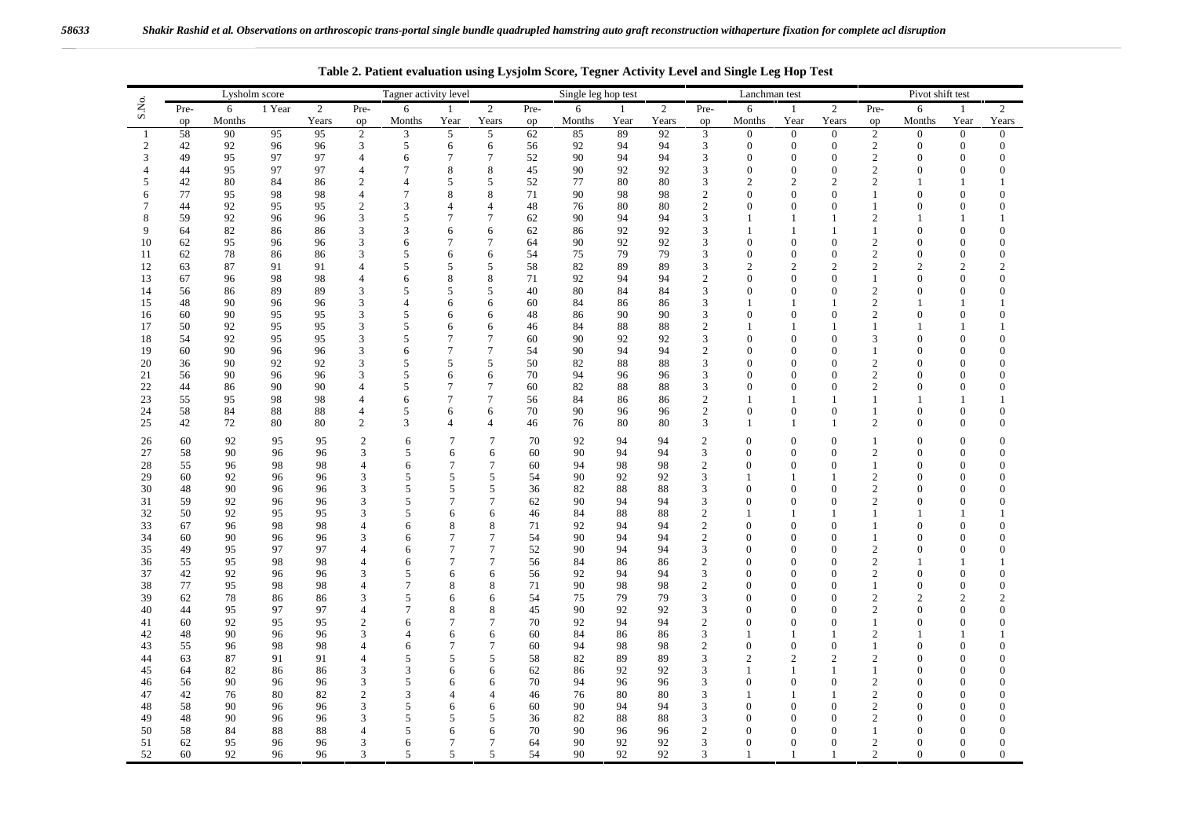|          | Lysholm score |          |          |          | Tagner activity level |                |                  |                                  |          | Single leg hop test |              |                |                     | Lanchman test                  |                              | Pivot shift test                 |                     |                              |                              |                |
|----------|---------------|----------|----------|----------|-----------------------|----------------|------------------|----------------------------------|----------|---------------------|--------------|----------------|---------------------|--------------------------------|------------------------------|----------------------------------|---------------------|------------------------------|------------------------------|----------------|
| S.No.    | Pre-          | 6        | 1 Year   | 2        | Pre-                  | 6              | -1               | 2                                | Pre-     | 6                   | $\mathbf{1}$ | $\overline{2}$ | Pre-                | 6                              | $\mathbf{1}$                 | 2                                | Pre-                | 6                            | $\mathbf{1}$                 | $\overline{2}$ |
|          | op            | Months   |          | Years    | op                    | Months         | Year             | Years                            | op       | Months              | Year         | Years          | op                  | Months                         | Year                         | Years                            | op                  | Months                       | Year                         | Years          |
| 1        | 58            | 90       | 95       | 95       | 2                     | 3              | 5                | 5                                | 62       | 85                  | 89           | 92             | 3                   | $\mathbf{0}$                   | $\mathbf{0}$                 | $\overline{0}$                   | 2                   | $\Omega$                     | $\overline{0}$               | $\mathbf{0}$   |
| 2<br>3   | 42<br>49      | 92<br>95 | 96<br>97 | 96<br>97 | 3<br>$\overline{4}$   | 5              | 6<br>$\tau$      | 6<br>7                           | 56<br>52 | 92<br>90            | 94<br>94     | 94<br>94       | 3<br>3              | $\overline{0}$<br>$\mathbf{0}$ | $\mathbf{0}$<br>$\mathbf{0}$ | $\boldsymbol{0}$<br>$\mathbf{0}$ | 2<br>$\overline{2}$ | $\mathbf{0}$<br>$\mathbf{0}$ | $\mathbf{0}$<br>$\mathbf{0}$ | $\Omega$       |
| 4        | 44            | 95       | 97       | 97       | $\overline{4}$        | 6<br>7         | 8                | 8                                | 45       | 90                  | 92           | 92             | 3                   | $\theta$                       | $\mathbf{0}$                 | $\mathbf{0}$                     | 2                   | $\mathbf{0}$                 | $\boldsymbol{0}$             | 0              |
| 5        | 42            | 80       | 84       | 86       | $\mathfrak{2}$        | $\overline{4}$ | 5                | 5                                | 52       | 77                  | 80           | 80             | 3                   | $\mathbf{2}$                   | $\mathfrak{2}$               | $\overline{2}$                   | $\overline{2}$      | -1                           | $\mathbf{1}$                 |                |
| 6        | 77            | 95       | 98       | 98       | $\overline{4}$        | $\tau$         | 8                | 8                                | 71       | 90                  | 98           | 98             | $\mathfrak{2}$      | $\Omega$                       | $\Omega$                     | $\boldsymbol{0}$                 | $\mathbf{1}$        | $\boldsymbol{0}$             | $\boldsymbol{0}$             |                |
| 7        | 44            | 92       | 95       | 95       | 2                     | 3              | $\overline{4}$   | $\overline{4}$                   | 48       | 76                  | 80           | 80             | $\overline{2}$      | $\Omega$                       | $\Omega$                     | $\mathbf{0}$                     | 1                   | $\mathbf{0}$                 | $\mathbf{0}$                 |                |
| 8        | 59            | 92       | 96       | 96       | 3                     | 5              | 7                | 7                                | 62       | 90                  | 94           | 94             | 3                   | $\mathbf{1}$                   | -1                           | $\mathbf{1}$                     | 2                   | -1                           | $\mathbf{1}$                 |                |
| 9        | 64            | 82       | 86       | 86       | 3                     | 3              | 6                | 6                                | 62       | 86                  | 92           | 92             | 3                   | 1                              | -1                           | 1                                | 1                   | $\mathbf{0}$                 | $\mathbf{0}$                 |                |
| 10       | 62            | 95       | 96       | 96       | 3                     | 6              | 7                | 7                                | 64       | 90                  | 92           | 92             | 3                   | $\overline{0}$                 | $\theta$                     | $\mathbf{0}$                     | 2                   | $\theta$                     | $\mathbf{0}$                 |                |
| 11       | 62            | 78       | 86       | 86       | 3                     | 5              | 6                | 6                                | 54       | 75                  | 79           | 79             | 3                   | $\Omega$                       | $\mathbf{0}$                 | $\mathbf{0}$                     | $\mathfrak{2}$      | $\mathbf{0}$                 | $\mathbf{0}$                 |                |
| 12       | 63            | 87       | 91       | 91       | $\overline{4}$        | 5              | 5                | 5                                | 58       | 82                  | 89           | 89             | 3                   | $\overline{2}$                 | $\overline{c}$               | $\overline{2}$                   | $\overline{2}$      | $\overline{c}$               | $\overline{c}$               |                |
| 13       | 67            | 96       | 98       | 98       | $\overline{4}$        | 6              | 8                | 8                                | 71       | 92                  | 94           | 94             | $\overline{2}$      | $\Omega$                       | $\Omega$                     | $\mathbf{0}$                     | $\mathbf{1}$        | $\mathbf{0}$                 | $\theta$                     |                |
| 14       | 56            | 86       | 89       | 89       | 3                     | 5              | 5                | 5                                | 40       | 80                  | 84           | 84             | 3                   | $\Omega$                       | $\Omega$                     | $\mathbf{0}$                     | $\overline{c}$      | $\Omega$                     | $\Omega$                     |                |
| 15       | 48            | 90       | 96       | 96       | 3                     | $\overline{4}$ | 6                | 6                                | 60       | 84                  | 86           | 86             | 3                   |                                | -1                           | 1                                | 2                   |                              | $\mathbf{1}$                 |                |
| 16<br>17 | 60<br>50      | 90<br>92 | 95<br>95 | 95<br>95 | 3<br>3                | 5<br>5         | 6<br>6           | 6<br>6                           | 48<br>46 | 86<br>84            | 90<br>88     | 90<br>88       | 3<br>$\overline{c}$ | $\Omega$<br>1                  | $\Omega$<br>-1               | $\mathbf{0}$<br>-1               | 2<br>1              | $\theta$<br>-1               | $\mathbf{0}$<br>-1           |                |
| 18       | 54            | 92       | 95       | 95       | 3                     | 5              | 7                | 7                                | 60       | 90                  | 92           | 92             | $\mathfrak{Z}$      | $\theta$                       | $\mathbf{0}$                 | $\mathbf{0}$                     | 3                   | $\mathbf{0}$                 | $\boldsymbol{0}$             |                |
| 19       | 60            | 90       | 96       | 96       | 3                     | 6              | $\tau$           | 7                                | 54       | 90                  | 94           | 94             | $\mathfrak{2}$      | $\mathbf{0}$                   | $\mathbf{0}$                 | $\mathbf{0}$                     | 1                   | $\mathbf{0}$                 | $\mathbf{0}$                 |                |
| 20       | 36            | 90       | 92       | 92       | 3                     | 5              | 5                | 5                                | 50       | 82                  | 88           | 88             | 3                   | $\Omega$                       | $\Omega$                     | $\mathbf{0}$                     | $\overline{c}$      | $\mathbf{0}$                 | $\mathbf{0}$                 | $\Omega$       |
| 21       | 56            | 90       | 96       | 96       | 3                     | 5              | 6                | 6                                | 70       | 94                  | 96           | 96             | 3                   | $\Omega$                       | $\Omega$                     | $\mathbf{0}$                     | $\overline{2}$      | $\Omega$                     | $\mathbf{0}$                 |                |
| 22       | 44            | 86       | 90       | 90       | $\overline{4}$        | 5              | $\tau$           | 7                                | 60       | 82                  | 88           | 88             | 3                   | $\Omega$                       | $\Omega$                     | $\mathbf{0}$                     | $\overline{c}$      | $\theta$                     | $\mathbf{0}$                 |                |
| 23       | 55            | 95       | 98       | 98       | $\overline{4}$        | 6              | $\tau$           | 7                                | 56       | 84                  | 86           | 86             | $\overline{2}$      |                                | -1                           |                                  | 1                   |                              | $\mathbf{1}$                 |                |
| 24       | 58            | 84       | 88       | 88       | 4                     | 5              | 6                | 6                                | 70       | 90                  | 96           | 96             | $\mathfrak{2}$      | $\theta$                       | $\mathbf{0}$                 | $\mathbf{0}$                     | 1                   | $\mathbf{0}$                 | $\mathbf{0}$                 |                |
| 25       | 42            | 72       | 80       | 80       | $\mathfrak{2}$        | 3              | 4                | $\overline{4}$                   | 46       | 76                  | 80           | 80             | 3                   | -1                             | 1                            | -1                               | 2                   | $\mathbf{0}$                 | $\mathbf{0}$                 |                |
| 26       | 60            | 92       | 95       | 95       | $\overline{2}$        | 6              | $\tau$           | $\tau$                           | 70       | 92                  | 94           | 94             | $\mathbf{2}$        | $\mathbf{0}$                   | $\Omega$                     | $\theta$                         | 1                   | $\mathbf{0}$                 | $\mathbf{0}$                 |                |
| 27       | 58            | 90       | 96       | 96       | 3                     | 5              | 6                | 6                                | 60       | 90                  | 94           | 94             | 3                   | $\mathbf{0}$                   | $\mathbf{0}$                 | $\mathbf{0}$                     | 2                   | $\mathbf{0}$                 | $\mathbf{0}$                 | $\Omega$       |
| 28       | 55            | 96       | 98       | 98       | $\overline{4}$        | 6              | 7                | $\tau$                           | 60       | 94                  | 98           | 98             | 2                   | $\mathbf{0}$                   | $\mathbf{0}$                 | $\mathbf{0}$                     | $\mathbf{1}$        | $\mathbf{0}$                 | $\mathbf{0}$                 |                |
| 29       | 60            | 92       | 96       | 96       | 3                     | 5              | 5                | 5                                | 54       | 90                  | 92           | 92             | 3                   | -1                             | 1                            | -1                               | 2                   | $\theta$                     | $\mathbf{0}$                 |                |
| 30       | 48            | 90       | 96       | 96       | 3                     | 5              | 5                | 5                                | 36       | 82                  | 88           | 88             | 3                   | $\mathbf{0}$                   | $\mathbf{0}$                 | $\mathbf{0}$                     | 2                   | $\mathbf{0}$                 | $\boldsymbol{0}$             |                |
| 31       | 59            | 92       | 96       | 96       | 3                     | 5              | 7                | $\tau$                           | 62       | 90                  | 94           | 94             | 3                   | $\mathbf{0}$                   | $\mathbf{0}$                 | $\mathbf{0}$                     | $\overline{2}$      | $\mathbf{0}$                 | $\mathbf{0}$                 |                |
| 32       | 50            | 92       | 95       | 95       | 3                     | 5              | 6                | 6                                | 46       | 84                  | 88           | 88             | $\overline{c}$      | -1                             | 1                            | 1                                | 1                   |                              | $\mathbf{1}$                 |                |
| 33       | 67            | 96       | 98       | 98       | $\overline{4}$        | 6              | 8                | 8                                | 71       | 92                  | 94           | 94             | 2                   | $\Omega$                       | $\Omega$                     | $\mathbf{0}$                     | -1                  | $\mathbf{0}$                 | $\mathbf{0}$                 |                |
| 34       | 60            | 90       | 96       | 96       | 3                     | 6              | 7                | $\tau$                           | 54       | 90                  | 94           | 94             | 2                   | $\Omega$                       | $\Omega$                     | $\Omega$                         | 1                   | $\Omega$                     | $\Omega$                     |                |
| 35       | 49            | 95<br>95 | 97<br>98 | 97       | $\overline{4}$        | 6              | $\tau$<br>$\tau$ | $\overline{7}$<br>$\overline{7}$ | 52       | 90<br>84            | 94           | 94             | 3<br>2              | $\mathbf{0}$                   | $\mathbf{0}$<br>$\Omega$     | $\mathbf{0}$<br>$\mathbf{0}$     | 2<br>2              | $\mathbf{0}$                 | $\mathbf{0}$<br>1            |                |
| 36<br>37 | 55<br>42      | 92       | 96       | 98<br>96 | $\overline{4}$<br>3   | 6<br>5         | 6                | 6                                | 56<br>56 | 92                  | 86<br>94     | 86<br>94       | 3                   | $\mathbf{0}$<br>$\Omega$       | $\Omega$                     | $\mathbf{0}$                     | $\mathfrak{2}$      | $\mathbf{0}$                 | $\mathbf{0}$                 |                |
| 38       | 77            | 95       | 98       | 98       | $\overline{4}$        | 7              | 8                | 8                                | 71       | 90                  | 98           | 98             | $\overline{c}$      | $\mathbf{0}$                   | $\mathbf{0}$                 | $\boldsymbol{0}$                 | 1                   | $\boldsymbol{0}$             | $\boldsymbol{0}$             |                |
| 39       | 62            | 78       | 86       | 86       | 3                     | 5              | 6                | 6                                | 54       | 75                  | 79           | 79             | 3                   | $\Omega$                       | $\Omega$                     | $\Omega$                         | 2                   | $\overline{2}$               | $\overline{2}$               |                |
| 40       | 44            | 95       | 97       | 97       | $\overline{4}$        | $\tau$         | 8                | 8                                | 45       | 90                  | 92           | 92             | 3                   | $\Omega$                       | $\Omega$                     | $\Omega$                         | 2                   | $\Omega$                     | $\mathbf{0}$                 |                |
| 41       | 60            | 92       | 95       | 95       | $\overline{2}$        | 6              | 7                | $\tau$                           | 70       | 92                  | 94           | 94             | 2                   | $\mathbf{0}$                   | $\mathbf{0}$                 | $\mathbf{0}$                     | 1                   | $\mathbf{0}$                 | $\mathbf{0}$                 |                |
| 42       | 48            | 90       | 96       | 96       | 3                     | 4              | 6                | 6                                | 60       | 84                  | 86           | 86             | 3                   | -1                             | 1                            | 1                                | $\overline{c}$      |                              | $\mathbf{1}$                 |                |
| 43       | 55            | 96       | 98       | 98       | $\overline{4}$        | 6              | 7                | $\tau$                           | 60       | 94                  | 98           | 98             | $\mathfrak{2}$      | $\mathbf{0}$                   | $\mathbf{0}$                 | $\mathbf{0}$                     | 1                   | $\theta$                     | $\mathbf{0}$                 |                |
| 44       | 63            | 87       | 91       | 91       | $\overline{4}$        | 5              | 5                | 5                                | 58       | 82                  | 89           | 89             | 3                   | 2                              | 2                            | $\mathfrak{2}$                   | $\overline{c}$      | $\mathbf{0}$                 | $\boldsymbol{0}$             |                |
| 45       | 64            | 82       | 86       | 86       | 3                     | 3              | 6                | 6                                | 62       | 86                  | 92           | 92             | 3                   | $\mathbf{1}$                   | $\mathbf{1}$                 | $\mathbf{1}$                     | $\mathbf{1}$        | $\mathbf{0}$                 | $\mathbf{0}$                 |                |
| 46       | 56            | 90       | 96       | 96       | 3                     | 5              | 6                | 6                                | 70       | 94                  | 96           | 96             | 3                   | $\Omega$                       | $\Omega$                     | $\mathbf{0}$                     | $\overline{2}$      | $\Omega$                     | $\mathbf{0}$                 | $\Omega$       |
| 47       | 42            | 76       | 80       | 82       | $\overline{2}$        | $\mathcal{R}$  | 4                | $\overline{4}$                   | 46       | 76                  | 80           | 80             | 3                   | -1                             | 1                            | -1                               | $\overline{2}$      | $\Omega$                     | $\mathbf{0}$                 |                |
| 48       | 58            | 90       | 96       | 96       | 3                     | 5              | 6                | 6                                | 60       | 90                  | 94           | 94             | 3                   | $\Omega$                       | $\Omega$                     | $\Omega$                         | 2                   | $\Omega$                     | $\Omega$                     |                |
| 49       | 48            | 90       | 96       | 96       | 3                     | 5              | 5                | 5                                | 36       | 82                  | 88           | 88             | 3                   | $\mathbf{0}$                   | $\mathbf{0}$                 | $\mathbf{0}$                     | 2                   | $\mathbf{0}$                 | $\mathbf{0}$                 |                |
| 50<br>51 | 58<br>62      | 84<br>95 | 88<br>96 | 88<br>96 | $\overline{4}$<br>3   | 5<br>6         | 6<br>$\tau$      | 6<br>$\tau$                      | 70<br>64 | 90<br>90            | 96<br>92     | 96<br>92       | 2<br>3              | $\mathbf{0}$<br>$\mathbf{0}$   | $\Omega$<br>$\mathbf{0}$     | $\mathbf{0}$<br>$\mathbf{0}$     | 1<br>2              | $\theta$<br>$\mathbf{0}$     | $\mathbf{0}$<br>$\mathbf{0}$ |                |
| 52       | 60            | 92       | 96       | 96       | 3                     | 5              | 5                | 5                                | 54       | 90                  | 92           | 92             | 3                   | $\mathbf{1}$                   | $\overline{1}$               | $\mathbf{1}$                     | $\overline{2}$      | $\boldsymbol{0}$             | $\boldsymbol{0}$             | $\theta$       |
|          |               |          |          |          |                       |                |                  |                                  |          |                     |              |                |                     |                                |                              |                                  |                     |                              |                              |                |

**Table 2. Patient evaluation using Lysjolm Score, Tegner Activity Level and Single Leg Hop Test**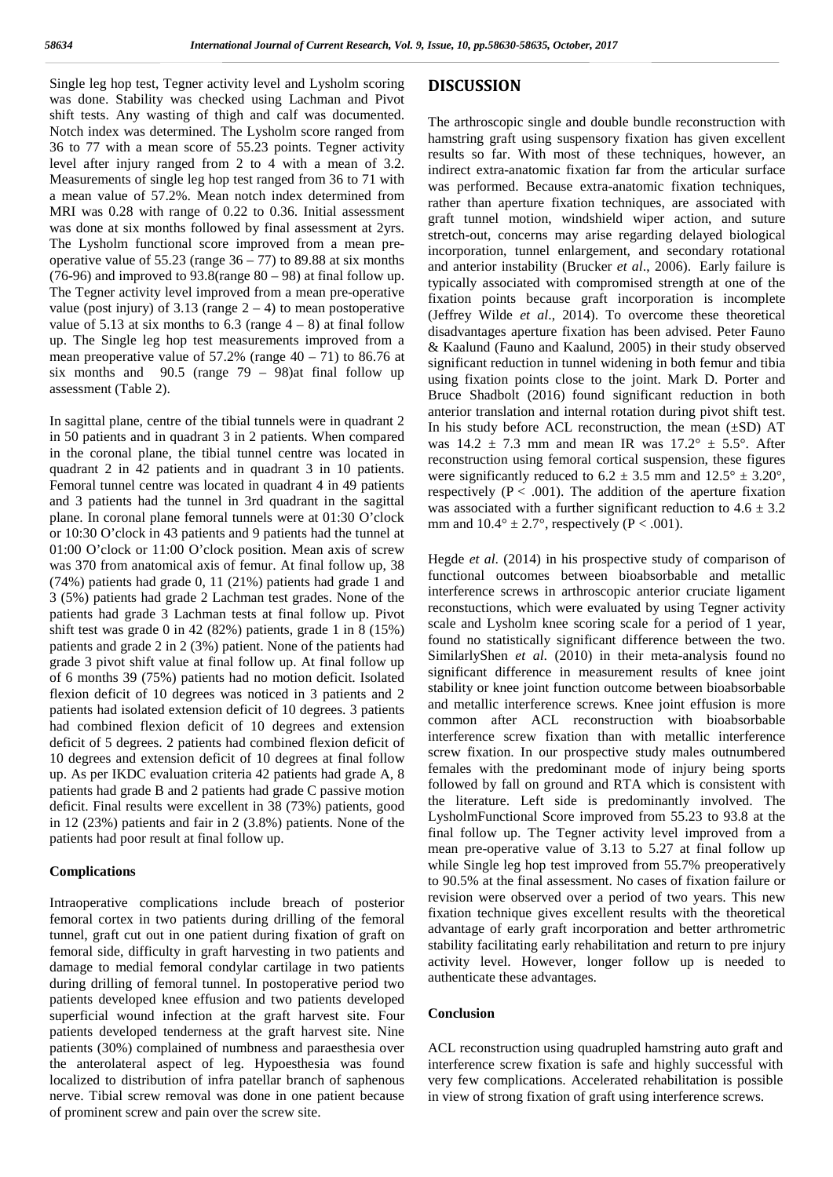Single leg hop test, Tegner activity level and Lysholm scoring was done. Stability was checked using Lachman and Pivot shift tests. Any wasting of thigh and calf was documented. Notch index was determined. The Lysholm score ranged from 36 to 77 with a mean score of 55.23 points. Tegner activity level after injury ranged from 2 to 4 with a mean of 3.2. Measurements of single leg hop test ranged from 36 to 71 with a mean value of 57.2%. Mean notch index determined from MRI was 0.28 with range of 0.22 to 0.36. Initial assessment was done at six months followed by final assessment at 2yrs. The Lysholm functional score improved from a mean pre operative value of 55.23 (range  $36 - 77$ ) to 89.88 at six months (76-96) and improved to  $93.8$ (range  $80 - 98$ ) at final follow up. The Tegner activity level improved from a mean pre-operative value (post injury) of 3.13 (range  $2 - 4$ ) to mean postoperative value of 5.13 at six months to 6.3 (range  $4 - 8$ ) at final follow up. The Single leg hop test measurements improved from a mean preoperative value of  $57.2\%$  (range  $40 - 71$ ) to 86.76 at six months and  $90.5$  (range  $79 - 98$ ) at final follow up assessment (Table 2).

In sagittal plane, centre of the tibial tunnels were in quadrant 2 in 50 patients and in quadrant 3 in 2 patients. When compared in the coronal plane, the tibial tunnel centre was located in quadrant 2 in 42 patients and in quadrant 3 in 10 patients. Femoral tunnel centre was located in quadrant 4 in 49 patients and 3 patients had the tunnel in 3rd quadrant in the sagittal plane. In coronal plane femoral tunnels were at 01:30 O'clock or 10:30 O'clock in 43 patients and 9 patients had the tunnel at 01:00 O'clock or 11:00 O'clock position. Mean axis of screw was 370 from anatomical axis of femur. At final follow up, 38 (74%) patients had grade 0, 11 (21%) patients had grade 1 and 3 (5%) patients had grade 2 Lachman test grades. None of the patients had grade 3 Lachman tests at final follow up. Pivot shift test was grade 0 in 42 (82%) patients, grade 1 in 8 (15%) patients and grade 2 in 2 (3%) patient. None of the patients had grade 3 pivot shift value at final follow up. At final follow up of 6 months 39 (75%) patients had no motion deficit. Isolated flexion deficit of 10 degrees was noticed in 3 patients and 2 patients had isolated extension deficit of 10 degrees. 3 patients had combined flexion deficit of 10 degrees and extension deficit of 5 degrees. 2 patients had combined flexion deficit of 10 degrees and extension deficit of 10 degrees at final follow up. As per IKDC evaluation criteria 42 patients had grade A, 8 patients had grade B and 2 patients had grade C passive motion deficit. Final results were excellent in 38 (73%) patients, good in 12 (23%) patients and fair in 2 (3.8%) patients. None of the patients had poor result at final follow up.

#### **Complications**

Intraoperative complications include breach of posterior femoral cortex in two patients during drilling of the femoral tunnel, graft cut out in one patient during fixation of graft on femoral side, difficulty in graft harvesting in two patients and damage to medial femoral condylar cartilage in two patients during drilling of femoral tunnel. In postoperative period two patients developed knee effusion and two patients developed superficial wound infection at the graft harvest site. Four patients developed tenderness at the graft harvest site. Nine patients (30%) complained of numbness and paraesthesia over the anterolateral aspect of leg. Hypoesthesia was found localized to distribution of infra patellar branch of saphenous nerve. Tibial screw removal was done in one patient because of prominent screw and pain over the screw site.

### **DISCUSSION**

The arthroscopic single and double bundle reconstruction with hamstring graft using suspensory fixation has given excellent results so far. With most of these techniques, however, an indirect extra-anatomic fixation far from the articular surface was performed. Because extra-anatomic fixation techniques, rather than aperture fixation techniques, are associated with graft tunnel motion, windshield wiper action, and suture stretch-out, concerns may arise regarding delayed biological incorporation, tunnel enlargement, and secondary rotational and anterior instability (Brucker *et al*., 2006). Early failure is typically associated with compromised strength at one of the fixation points because graft incorporation is incomplete (Jeffrey Wilde *et al*., 2014). To overcome these theoretical disadvantages aperture fixation has been advised. Peter Fauno & Kaalund (Fauno and Kaalund, 2005) in their study observed significant reduction in tunnel widening in both femur and tibia using fixation points close to the joint. Mark D. Porter and Bruce Shadbolt (2016) found significant reduction in both anterior translation and internal rotation during pivot shift test. In his study before ACL reconstruction, the mean  $(\pm SD)$  AT was  $14.2 \pm 7.3$  mm and mean IR was  $17.2^{\circ} \pm 5.5^{\circ}$ . After reconstruction using femoral cortical suspension, these figures were significantly reduced to  $6.2 \pm 3.5$  mm and  $12.5^{\circ} \pm 3.20^{\circ}$ , respectively ( $P < .001$ ). The addition of the aperture fixation was associated with a further significant reduction to  $4.6 \pm 3.2$ mm and  $10.4^{\circ} \pm 2.7^{\circ}$ , respectively (P < .001).

Hegde *et al*. (2014) in his prospective study of comparison of functional outcomes between bioabsorbable and metallic interference screws in arthroscopic anterior cruciate ligament reconstuctions, which were evaluated by using Tegner activity scale and Lysholm knee scoring scale for a period of 1 year, found no statistically significant difference between the two. SimilarlyShen *et al*. (2010) in their meta-analysis found no significant difference in measurement results of knee joint stability or knee joint function outcome between bioabsorbable and metallic interference screws. Knee joint effusion is more common after ACL reconstruction with bioabsorbable interference screw fixation than with metallic interference screw fixation. In our prospective study males outnumbered females with the predominant mode of injury being sports followed by fall on ground and RTA which is consistent with the literature. Left side is predominantly involved. The LysholmFunctional Score improved from 55.23 to 93.8 at the final follow up. The Tegner activity level improved from a mean pre-operative value of 3.13 to 5.27 at final follow up while Single leg hop test improved from 55.7% preoperatively to 90.5% at the final assessment. No cases of fixation failure or revision were observed over a period of two years. This new fixation technique gives excellent results with the theoretical advantage of early graft incorporation and better arthrometric stability facilitating early rehabilitation and return to pre injury activity level. However, longer follow up is needed to authenticate these advantages.

#### **Conclusion**

ACL reconstruction using quadrupled hamstring auto graft and interference screw fixation is safe and highly successful with very few complications. Accelerated rehabilitation is possible in view of strong fixation of graft using interference screws.